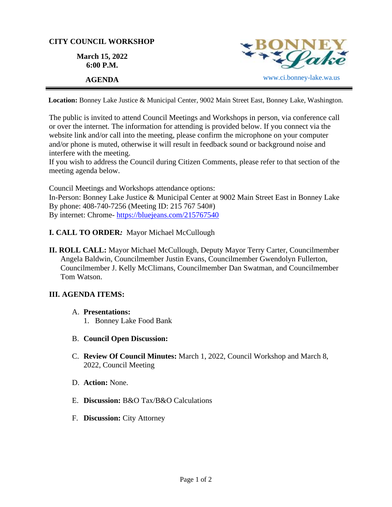## **CITY COUNCIL WORKSHOP**

**March 15, 2022 6:00 P.M.**



**Location:** Bonney Lake Justice & Municipal Center, 9002 Main Street East, Bonney Lake, Washington.

The public is invited to attend Council Meetings and Workshops in person, via conference call or over the internet. The information for attending is provided below. If you connect via the website link and/or call into the meeting, please confirm the microphone on your computer and/or phone is muted, otherwise it will result in feedback sound or background noise and interfere with the meeting.

If you wish to address the Council during Citizen Comments, please refer to that section of the meeting agenda below.

Council Meetings and Workshops attendance options: In-Person: Bonney Lake Justice & Municipal Center at 9002 Main Street East in Bonney Lake By phone: 408-740-7256 (Meeting ID: 215 767 540#) By internet: Chrome- [https://bluejeans.com/215767540](https://bluejeans.com/215767540?src=calendarLink&flow=joinmeeting)

- **I. CALL TO ORDER***:* Mayor Michael McCullough
- **II. ROLL CALL:** Mayor Michael McCullough, Deputy Mayor Terry Carter, Councilmember Angela Baldwin, Councilmember Justin Evans, Councilmember Gwendolyn Fullerton, Councilmember J. Kelly McClimans, Councilmember Dan Swatman, and Councilmember Tom Watson.

## **III. AGENDA ITEMS:**

- A. **Presentations:** 
	- 1. Bonney Lake Food Bank
- B. **Council Open Discussion:**
- C. **Review Of Council Minutes:** March 1, 2022, Council Workshop and March 8, 2022, Council Meeting
- D. **Action:** None.
- E. **Discussion:** B&O Tax/B&O Calculations
- F. **Discussion:** City Attorney